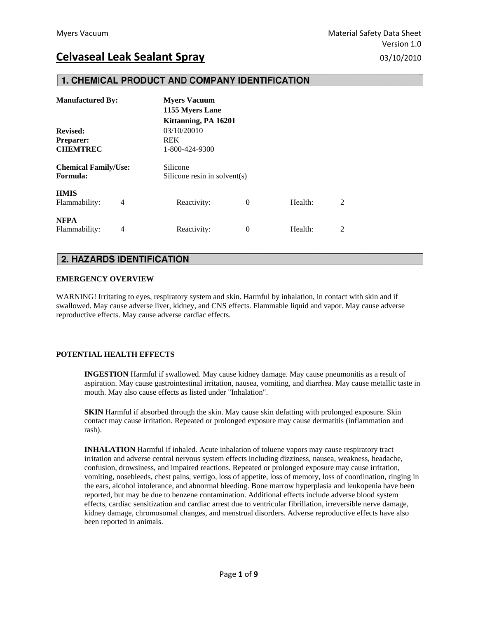## 1. CHEMICAL PRODUCT AND COMPANY IDENTIFICATION

| <b>Manufactured By:</b>                        |   | <b>Myers Vacuum</b><br>1155 Myers Lane |                              |         |   |  |
|------------------------------------------------|---|----------------------------------------|------------------------------|---------|---|--|
|                                                |   | Kittanning, PA 16201                   |                              |         |   |  |
| <b>Revised:</b>                                |   | 03/10/20010                            |                              |         |   |  |
| <b>Preparer:</b>                               |   | <b>REK</b>                             |                              |         |   |  |
| <b>CHEMTREC</b>                                |   | 1-800-424-9300                         |                              |         |   |  |
| <b>Chemical Family/Use:</b><br><b>Formula:</b> |   | Silicone                               | Silicone resin in solvent(s) |         |   |  |
| <b>HMIS</b><br>Flammability:                   | 4 | Reactivity:                            | 0                            | Health: | 2 |  |
| <b>NFPA</b><br>Flammability:                   | 4 | Reactivity:                            | $\theta$                     | Health: | 2 |  |

## **2. HAZARDS IDENTIFICATION**

#### **EMERGENCY OVERVIEW**

WARNING! Irritating to eyes, respiratory system and skin. Harmful by inhalation, in contact with skin and if swallowed. May cause adverse liver, kidney, and CNS effects. Flammable liquid and vapor. May cause adverse reproductive effects. May cause adverse cardiac effects.

#### **POTENTIAL HEALTH EFFECTS**

 **INGESTION** Harmful if swallowed. May cause kidney damage. May cause pneumonitis as a result of aspiration. May cause gastrointestinal irritation, nausea, vomiting, and diarrhea. May cause metallic taste in mouth. May also cause effects as listed under "Inhalation".

**SKIN** Harmful if absorbed through the skin. May cause skin defatting with prolonged exposure. Skin contact may cause irritation. Repeated or prolonged exposure may cause dermatitis (inflammation and rash).

 **INHALATION** Harmful if inhaled. Acute inhalation of toluene vapors may cause respiratory tract irritation and adverse central nervous system effects including dizziness, nausea, weakness, headache, confusion, drowsiness, and impaired reactions. Repeated or prolonged exposure may cause irritation, vomiting, nosebleeds, chest pains, vertigo, loss of appetite, loss of memory, loss of coordination, ringing in the ears, alcohol intolerance, and abnormal bleeding. Bone marrow hyperplasia and leukopenia have been reported, but may be due to benzene contamination. Additional effects include adverse blood system effects, cardiac sensitization and cardiac arrest due to ventricular fibrillation, irreversible nerve damage, kidney damage, chromosomal changes, and menstrual disorders. Adverse reproductive effects have also been reported in animals.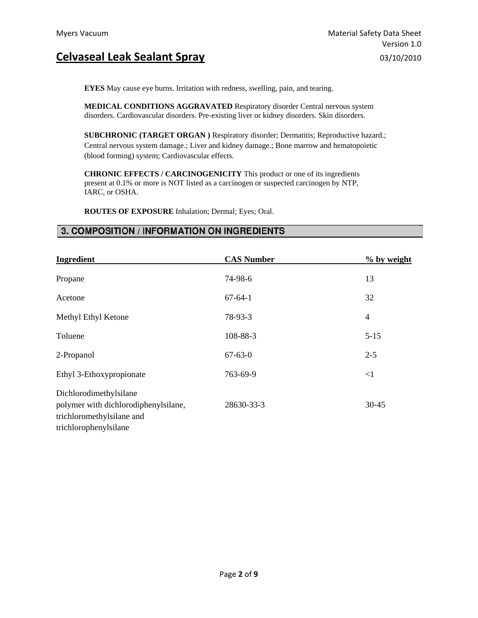**EYES** May cause eye burns. Irritation with redness, swelling, pain, and tearing.

 **MEDICAL CONDITIONS AGGRAVATED** Respiratory disorder Central nervous system disorders. Cardiovascular disorders. Pre-existing liver or kidney disorders. Skin disorders.

 **SUBCHRONIC (TARGET ORGAN )** Respiratory disorder; Dermatitis; Reproductive hazard.; Central nervous system damage.; Liver and kidney damage.; Bone marrow and hematopoietic (blood forming) system; Cardiovascular effects.

**CHRONIC EFFECTS / CARCINOGENICITY** This product or one of its ingredients present at 0.1% or more is NOT listed as a carcinogen or suspected carcinogen by NTP, IARC, or OSHA.

 **ROUTES OF EXPOSURE** Inhalation; Dermal; Eyes; Oral.

### 3. COMPOSITION / INFORMATION ON INGREDIENTS

| Ingredient                                                                                                           | <b>CAS Number</b> | % by weight    |
|----------------------------------------------------------------------------------------------------------------------|-------------------|----------------|
| Propane                                                                                                              | 74-98-6           | 13             |
| Acetone                                                                                                              | $67 - 64 - 1$     | 32             |
| Methyl Ethyl Ketone                                                                                                  | 78-93-3           | $\overline{4}$ |
| Toluene                                                                                                              | 108-88-3          | $5 - 15$       |
| 2-Propanol                                                                                                           | $67 - 63 - 0$     | $2 - 5$        |
| Ethyl 3-Ethoxypropionate                                                                                             | 763-69-9          | $<$ 1          |
| Dichlorodimethylsilane<br>polymer with dichlorodiphenylsilane,<br>trichloromethylsilane and<br>trichlorophenylsilane | 28630-33-3        | $30 - 45$      |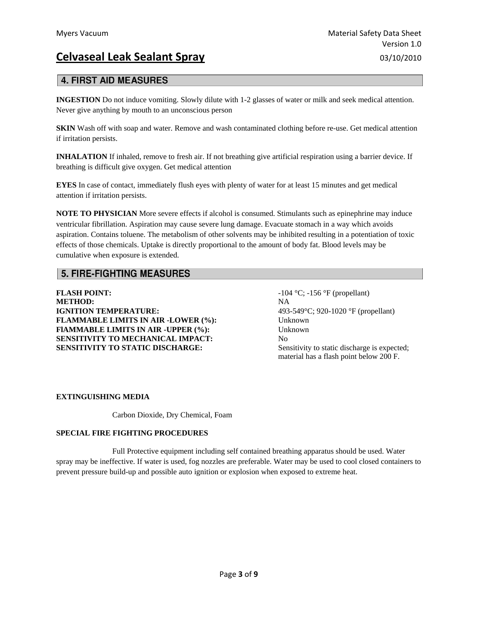## **4. FIRST AID MEASURES**

**INGESTION** Do not induce vomiting. Slowly dilute with 1-2 glasses of water or milk and seek medical attention. Never give anything by mouth to an unconscious person

**SKIN** Wash off with soap and water. Remove and wash contaminated clothing before re-use. Get medical attention if irritation persists.

**INHALATION** If inhaled, remove to fresh air. If not breathing give artificial respiration using a barrier device. If breathing is difficult give oxygen. Get medical attention

**EYES** In case of contact, immediately flush eyes with plenty of water for at least 15 minutes and get medical attention if irritation persists.

**NOTE TO PHYSICIAN** More severe effects if alcohol is consumed. Stimulants such as epinephrine may induce ventricular fibrillation. Aspiration may cause severe lung damage. Evacuate stomach in a way which avoids aspiration. Contains toluene. The metabolism of other solvents may be inhibited resulting in a potentiation of toxic effects of those chemicals. Uptake is directly proportional to the amount of body fat. Blood levels may be cumulative when exposure is extended.

## **5. FIRE-FIGHTING MEASURES**

**FLASH POINT:**  $-104 \degree C; -156 \degree F$  (propellant) **METHOD:** NA **IGNITION TEMPERATURE:** 493-549°C; 920-1020 °F (propellant) **FLAMMABLE LIMITS IN AIR -LOWER (%):** Unknown **FlAMMABLE LIMITS IN AIR -UPPER (%): SENSITIVITY TO MECHANICAL IMPACT: SENSITIVITY TO STATIC DISCHARGE:** 

Unknown  $N<sub>0</sub>$ Sensitivity to static discharge is expected; material has a flash point below 200 F.

#### **EXTINGUISHING MEDIA**

Carbon Dioxide, Dry Chemical, Foam

#### **SPECIAL FIRE FIGHTING PROCEDURES**

 Full Protective equipment including self contained breathing apparatus should be used. Water spray may be ineffective. If water is used, fog nozzles are preferable. Water may be used to cool closed containers to prevent pressure build-up and possible auto ignition or explosion when exposed to extreme heat.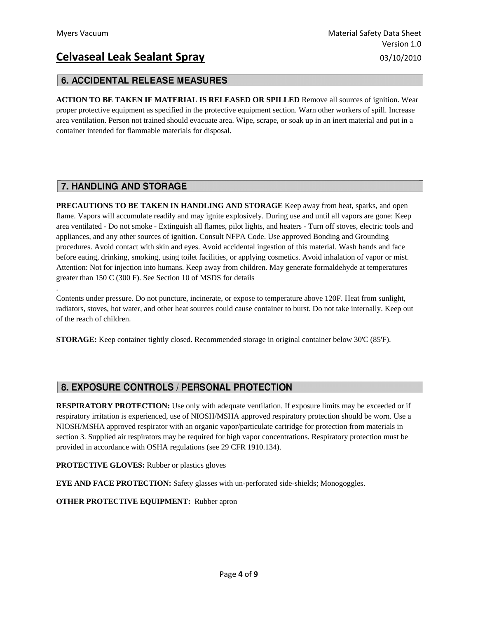.

# **Celvaseal Leak Sealant Spray** 03/10/2010

## **6. ACCIDENTAL RELEASE MEASURES**

**ACTION TO BE TAKEN IF MATERIAL IS RELEASED OR SPILLED** Remove all sources of ignition. Wear proper protective equipment as specified in the protective equipment section. Warn other workers of spill. Increase area ventilation. Person not trained should evacuate area. Wipe, scrape, or soak up in an inert material and put in a container intended for flammable materials for disposal.

## 7. HANDLING AND STORAGE

**PRECAUTIONS TO BE TAKEN IN HANDLING AND STORAGE** Keep away from heat, sparks, and open flame. Vapors will accumulate readily and may ignite explosively. During use and until all vapors are gone: Keep area ventilated - Do not smoke - Extinguish all flames, pilot lights, and heaters - Turn off stoves, electric tools and appliances, and any other sources of ignition. Consult NFPA Code. Use approved Bonding and Grounding procedures. Avoid contact with skin and eyes. Avoid accidental ingestion of this material. Wash hands and face before eating, drinking, smoking, using toilet facilities, or applying cosmetics. Avoid inhalation of vapor or mist. Attention: Not for injection into humans. Keep away from children. May generate formaldehyde at temperatures greater than 150 C (300 F). See Section 10 of MSDS for details

Contents under pressure. Do not puncture, incinerate, or expose to temperature above 120F. Heat from sunlight, radiators, stoves, hot water, and other heat sources could cause container to burst. Do not take internally. Keep out of the reach of children.

**STORAGE:** Keep container tightly closed. Recommended storage in original container below 30'C (85'F).

## 8. EXPOSURE CONTROLS / PERSONAL PROTECTION

**RESPIRATORY PROTECTION:** Use only with adequate ventilation. If exposure limits may be exceeded or if respiratory irritation is experienced, use of NIOSH/MSHA approved respiratory protection should be worn. Use a NIOSH/MSHA approved respirator with an organic vapor/particulate cartridge for protection from materials in section 3. Supplied air respirators may be required for high vapor concentrations. Respiratory protection must be provided in accordance with OSHA regulations (see 29 CFR 1910.134).

**PROTECTIVE GLOVES:** Rubber or plastics gloves

**EYE AND FACE PROTECTION:** Safety glasses with un-perforated side-shields; Monogoggles.

**OTHER PROTECTIVE EQUIPMENT:** Rubber apron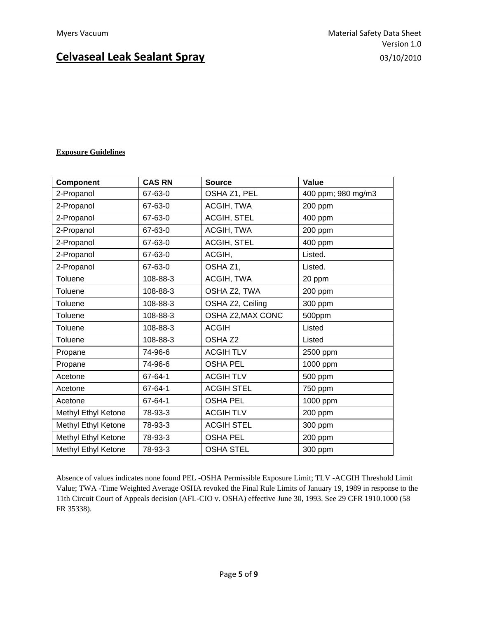### **Exposure Guidelines**

| Component           | <b>CAS RN</b> | <b>Source</b>      | Value              |
|---------------------|---------------|--------------------|--------------------|
| 2-Propanol          | 67-63-0       | OSHA Z1, PEL       | 400 ppm; 980 mg/m3 |
| 2-Propanol          | 67-63-0       | ACGIH, TWA         | 200 ppm            |
| 2-Propanol          | 67-63-0       | ACGIH, STEL        | 400 ppm            |
| 2-Propanol          | 67-63-0       | ACGIH, TWA         | 200 ppm            |
| 2-Propanol          | 67-63-0       | ACGIH, STEL        | 400 ppm            |
| 2-Propanol          | 67-63-0       | ACGIH,             | Listed.            |
| 2-Propanol          | 67-63-0       | OSHA Z1,           | Listed.            |
| Toluene             | 108-88-3      | ACGIH, TWA         | 20 ppm             |
| Toluene             | 108-88-3      | OSHA Z2, TWA       | 200 ppm            |
| Toluene             | 108-88-3      | OSHA Z2, Ceiling   | 300 ppm            |
| Toluene             | 108-88-3      | OSHA Z2, MAX CONC  | 500ppm             |
| Toluene             | 108-88-3      | <b>ACGIH</b>       | Listed             |
| Toluene             | 108-88-3      | OSHA <sub>Z2</sub> | Listed             |
| Propane             | 74-96-6       | <b>ACGIH TLV</b>   | 2500 ppm           |
| Propane             | 74-96-6       | <b>OSHA PEL</b>    | 1000 ppm           |
| Acetone             | 67-64-1       | <b>ACGIH TLV</b>   | 500 ppm            |
| Acetone             | 67-64-1       | <b>ACGIH STEL</b>  | 750 ppm            |
| Acetone             | 67-64-1       | <b>OSHA PEL</b>    | 1000 ppm           |
| Methyl Ethyl Ketone | 78-93-3       | <b>ACGIH TLV</b>   | 200 ppm            |
| Methyl Ethyl Ketone | 78-93-3       | <b>ACGIH STEL</b>  | 300 ppm            |
| Methyl Ethyl Ketone | 78-93-3       | <b>OSHA PEL</b>    | 200 ppm            |
| Methyl Ethyl Ketone | 78-93-3       | <b>OSHA STEL</b>   | 300 ppm            |

Absence of values indicates none found PEL -OSHA Permissible Exposure Limit; TLV -ACGIH Threshold Limit Value; TWA -Time Weighted Average OSHA revoked the Final Rule Limits of January 19, 1989 in response to the 11th Circuit Court of Appeals decision (AFL-CIO v. OSHA) effective June 30, 1993. See 29 CFR 1910.1000 (58 FR 35338).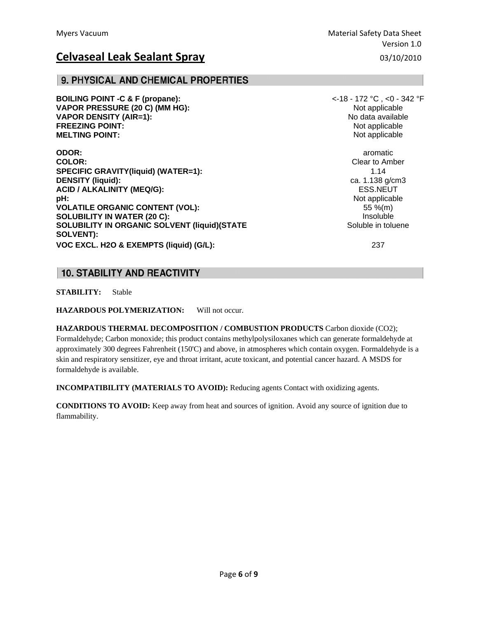### 9. PHYSICAL AND CHEMICAL PROPERTIES

**BOILING POINT -C & F (propane):**  $\leq$  **C** ,  $\leq$  **C** ,  $\leq$  **C** ,  $\leq$  **C** ,  $\leq$  **C** ,  $\leq$  **C** ,  $\leq$  **C** ,  $\leq$  **C** ,  $\leq$  **C** ,  $\leq$  **C** ,  $\leq$  **C** ,  $\leq$  **C** ,  $\leq$  **C** ,  $\leq$  **C** ,  $\leq$  **C** ,  $\leq$  **C VAPOR PRESSURE (20 C) (MM HG):**  $\blacksquare$  Not applicable Not applicable **VAPOR DENSITY (AIR=1):** No data available **FREEZING POINT:**  $\blacksquare$ **MELTING POINT:** Not applicable the state of the state of the state of the state of the state of the state of the state of the state of the state of the state of the state of the state of the state of the state of the stat

**ODOR: and aromatic one of** *a***romatic** *aromatic* **<b>one of** *a***romatic** *aromatic* **COLOR:** Clear to Amber **SPECIFIC GRAVITY(liquid) (WATER=1):** 1.14 **DENSITY (liquid):** ca. 1.138 g/cm3 **ACID / ALKALINITY (MEQ/G):** ESS.NEUT **pH:**  $\blacksquare$ **VOLATILE ORGANIC CONTENT (VOL):** 55 %(m) **SOLUBILITY IN WATER (20 C): Insoluble Insoluble Insoluble SOLUBILITY IN ORGANIC SOLVENT (liquid)(STATE SOLUBILITY IN ORGANIC SOLVENT** (liquid)(STATE **SOLVENT): VOC EXCL. H2O & EXEMPTS (liquid) (G/L):** 237

## **10. STABILITY AND REACTIVITY**

**STABILITY:** Stable

**HAZARDOUS POLYMERIZATION:** Will not occur.

**HAZARDOUS THERMAL DECOMPOSITION / COMBUSTION PRODUCTS** Carbon dioxide (CO2); Formaldehyde; Carbon monoxide; this product contains methylpolysiloxanes which can generate formaldehyde at approximately 300 degrees Fahrenheit (150'C) and above, in atmospheres which contain oxygen. Formaldehyde is a skin and respiratory sensitizer, eye and throat irritant, acute toxicant, and potential cancer hazard. A MSDS for formaldehyde is available.

**INCOMPATIBILITY (MATERIALS TO AVOID):** Reducing agents Contact with oxidizing agents.

**CONDITIONS TO AVOID:** Keep away from heat and sources of ignition. Avoid any source of ignition due to flammability.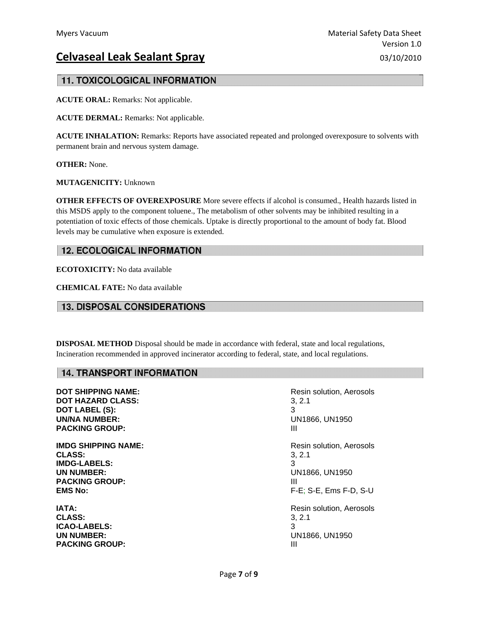## **11. TOXICOLOGICAL INFORMATION**

**ACUTE ORAL:** Remarks: Not applicable.

**ACUTE DERMAL:** Remarks: Not applicable.

**ACUTE INHALATION:** Remarks: Reports have associated repeated and prolonged overexposure to solvents with permanent brain and nervous system damage.

**OTHER:** None.

**MUTAGENICITY:** Unknown

**OTHER EFFECTS OF OVEREXPOSURE** More severe effects if alcohol is consumed., Health hazards listed in this MSDS apply to the component toluene., The metabolism of other solvents may be inhibited resulting in a potentiation of toxic effects of those chemicals. Uptake is directly proportional to the amount of body fat. Blood levels may be cumulative when exposure is extended.

## **12. ECOLOGICAL INFORMATION**

**ECOTOXICITY:** No data available

**CHEMICAL FATE:** No data available

## **13. DISPOSAL CONSIDERATIONS**

**DISPOSAL METHOD** Disposal should be made in accordance with federal, state and local regulations, Incineration recommended in approved incinerator according to federal, state, and local regulations.

### **14. TRANSPORT INFORMATION**

**DOT HAZARD CLASS:** 3, 2.1 **DOT LABEL (S):** 3 **UN/NA NUMBER:** UN1866, UN1950 **PACKING GROUP:** III

**CLASS:** 3, 2.1 **IMDG-LABELS:** 3 **UN NUMBER:** UN1866, UN1950 **PACKING GROUP:** III

**CLASS:** 3, 2.1 **ICAO-LABELS:** 3 **UN NUMBER:** UN1866, UN1950 **PACKING GROUP:** III

**DOT SHIPPING NAME:**  $\qquad \qquad$  **Resin solution, Aerosols IMDG SHIPPING NAME:**  $\qquad \qquad$ Resin solution, Aerosols **EMS No:** F-E; S-E, Ems F-D, S-U **IATA: IATA: Resin solution, Aerosols**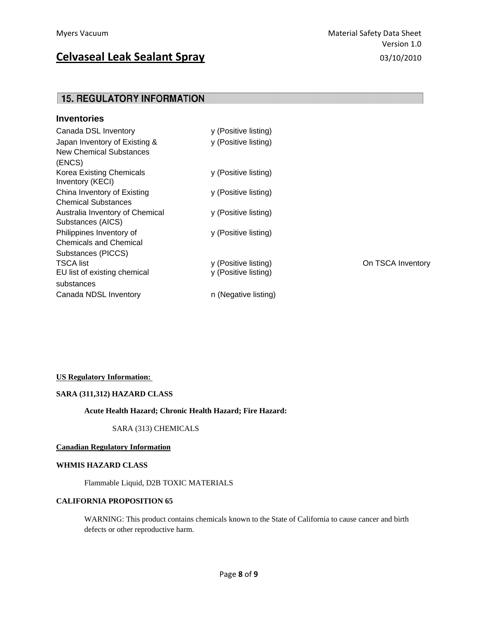## **15. REGULATORY INFORMATION**

| <b>Inventories</b>                                                 |                                              |                   |
|--------------------------------------------------------------------|----------------------------------------------|-------------------|
| Canada DSL Inventory                                               | y (Positive listing)                         |                   |
| Japan Inventory of Existing &<br>New Chemical Substances<br>(ENCS) | y (Positive listing)                         |                   |
| Korea Existing Chemicals<br>Inventory (KECI)                       | y (Positive listing)                         |                   |
| China Inventory of Existing<br><b>Chemical Substances</b>          | y (Positive listing)                         |                   |
| Australia Inventory of Chemical<br>Substances (AICS)               | y (Positive listing)                         |                   |
| Philippines Inventory of<br><b>Chemicals and Chemical</b>          | y (Positive listing)                         |                   |
| Substances (PICCS)                                                 |                                              |                   |
| <b>TSCA list</b><br>EU list of existing chemical<br>substances     | y (Positive listing)<br>y (Positive listing) | On TSCA Inventory |
| Canada NDSL Inventory                                              | n (Negative listing)                         |                   |

#### **US Regulatory Information:**

#### **SARA (311,312) HAZARD CLASS**

#### **Acute Health Hazard; Chronic Health Hazard; Fire Hazard:**

SARA (313) CHEMICALS

#### **Canadian Regulatory Information**

### **WHMIS HAZARD CLASS**

Flammable Liquid, D2B TOXIC MATERIALS

#### **CALIFORNIA PROPOSITION 65**

 WARNING: This product contains chemicals known to the State of California to cause cancer and birth defects or other reproductive harm.